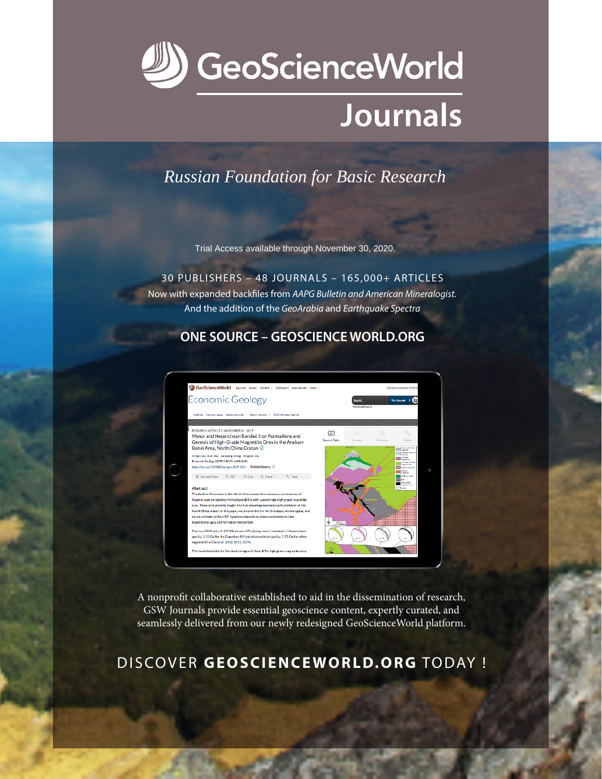

# Journals

**Russian Foundation for Basic Research** 

Trial Access available through November 30, 2020.

30 PUBLISHERS - 48 JOURNALS - 165,000+ ARTICLES Now with expanded backfiles from AAPG Bulletin and American Mineralogist. And the addition of the GeoArabia and Earthquake Spectra

## **ONE SOURCE - GEOSCIENCE WORLD.ORG**



A nonprofit collaborative established to aid in the dissemination of research, GSW Journals provide essential geoscience content, expertly curated, and seamlessly delivered from our newly redesigned GeoScienceWorld platform.

# DISCOVER GEOSCIENCEWORLD.ORG TODAY !